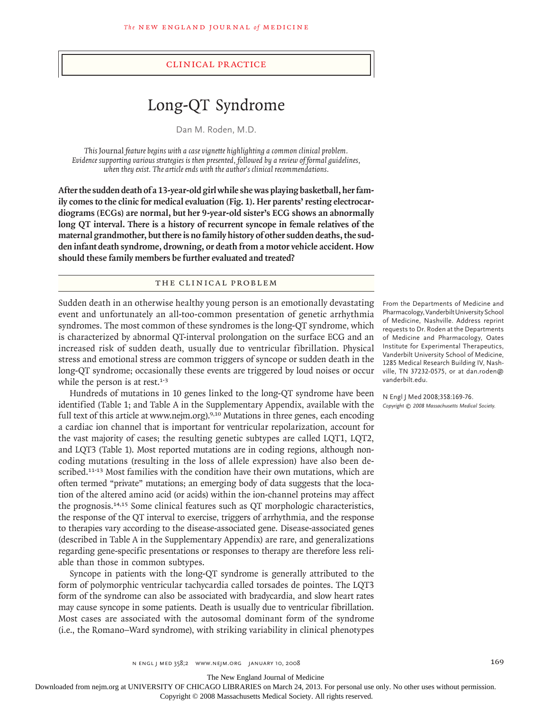### clinical practice

# Long-QT Syndrome

Dan M. Roden, M.D.

*This* Journal *feature begins with a case vignette highlighting a common clinical problem. Evidence supporting various strategies is then presented, followed by a review of formal guidelines, when they exist. The article ends with the author's clinical recommendations.* 

**After the sudden death of a 13-year-old girl while she was playing basketball, her family comes to the clinic for medical evaluation (Fig. 1). Her parents' resting electrocardiograms (ECGs) are normal, but her 9-year-old sister's ECG shows an abnormally long QT interval. There is a history of recurrent syncope in female relatives of the maternal grandmother, but there is no family history of other sudden deaths, the sudden infant death syndrome, drowning, or death from a motor vehicle accident. How should these family members be further evaluated and treated?**

# THE CLINICAL PROBLEM

Sudden death in an otherwise healthy young person is an emotionally devastating event and unfortunately an all-too-common presentation of genetic arrhythmia syndromes. The most common of these syndromes is the long-QT syndrome, which is characterized by abnormal QT-interval prolongation on the surface ECG and an increased risk of sudden death, usually due to ventricular fibrillation. Physical stress and emotional stress are common triggers of syncope or sudden death in the long-QT syndrome; occasionally these events are triggered by loud noises or occur while the person is at rest.<sup>1-3</sup>

Hundreds of mutations in 10 genes linked to the long-QT syndrome have been identified (Table 1; and Table A in the Supplementary Appendix, available with the full text of this article at www.nejm.org).<sup>9,10</sup> Mutations in three genes, each encoding a cardiac ion channel that is important for ventricular repolarization, account for the vast majority of cases; the resulting genetic subtypes are called LQT1, LQT2, and LQT3 (Table 1). Most reported mutations are in coding regions, although noncoding mutations (resulting in the loss of allele expression) have also been described.<sup>11-13</sup> Most families with the condition have their own mutations, which are often termed "private" mutations; an emerging body of data suggests that the location of the altered amino acid (or acids) within the ion-channel proteins may affect the prognosis.14,15 Some clinical features such as QT morphologic characteristics, the response of the QT interval to exercise, triggers of arrhythmia, and the response to therapies vary according to the disease-associated gene. Disease-associated genes (described in Table A in the Supplementary Appendix) are rare, and generalizations regarding gene-specific presentations or responses to therapy are therefore less reliable than those in common subtypes.

Syncope in patients with the long-QT syndrome is generally attributed to the form of polymorphic ventricular tachycardia called torsades de pointes. The LQT3 form of the syndrome can also be associated with bradycardia, and slow heart rates may cause syncope in some patients. Death is usually due to ventricular fibrillation. Most cases are associated with the autosomal dominant form of the syndrome (i.e., the Romano–Ward syndrome), with striking variability in clinical phenotypes

From the Departments of Medicine and Pharmacology, Vanderbilt University School of Medicine, Nashville. Address reprint requests to Dr. Roden at the Departments of Medicine and Pharmacology, Oates Institute for Experimental Therapeutics, Vanderbilt University School of Medicine, 1285 Medical Research Building IV, Nashville, TN 37232-0575, or at dan.roden@ vanderbilt.edu.

N Engl J Med 2008;358:169-76. *Copyright © 2008 Massachusetts Medical Society.*

The New England Journal of Medicine

Downloaded from nejm.org at UNIVERSITY OF CHICAGO LIBRARIES on March 24, 2013. For personal use only. No other uses without permission.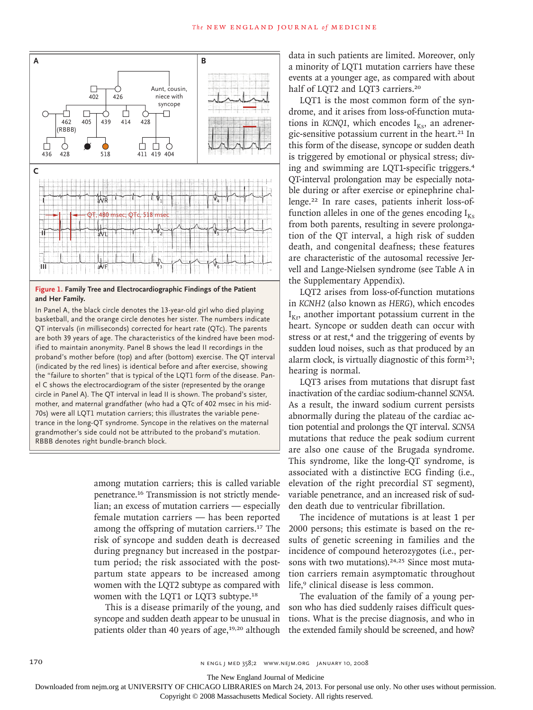

and Her Family. **Figure 1. Family Tree and Electrocardiographic Findings of the Patient** 

.<br>e black circle denotes the 13-vear-old girl who died | el C shows the electrocardiogram of the sister (represented by the orange QT intervals (in milliseconds) corrected for heart rate (QTc). The parents are both 39 years of age. The characteristics of the kindred have been modbasketball, and the orange circle denotes her sister. The numbers indicate are both 33 years of age. The enaracteristies of the kindled have been in proband's mother before (top) and after (bottom) exercise. The QT interval (indicated by the red lines) is identical before and after exercise, showing In Panel A, the black circle denotes the 13-year-old girl who died playing the "failure to shorten" that is typical of the LQT1 form of the disease. Pancircle in Panel A). The QT interval in lead II is shown. The proband's sister, mother, and maternal grandfather (who had a QTc of 402 msec in his mid-70s) were all LQT1 mutation carriers; this illustrates the variable penetrance in the long-QT syndrome. Syncope in the relatives on the maternal grandmother's side could not be attributed to the proband's mutation. RBBB denotes right bundle-branch block.

> among mutation carriers; this is called variable penetrance.16 Transmission is not strictly mendelian; an excess of mutation carriers — especially female mutation carriers — has been reported among the offspring of mutation carriers.17 The risk of syncope and sudden death is decreased during pregnancy but increased in the postpartum period; the risk associated with the postpartum state appears to be increased among women with the LQT2 subtype as compared with women with the LQT1 or LQT3 subtype.<sup>18</sup>

> This is a disease primarily of the young, and syncope and sudden death appear to be unusual in patients older than 40 years of age,<sup>19,20</sup> although

data in such patients are limited. Moreover, only a minority of LQT1 mutation carriers have these events at a younger age, as compared with about half of LQT2 and LQT3 carriers.<sup>20</sup>

LQT1 is the most common form of the syndrome, and it arises from loss-of-function mutations in *KCNQ1*, which encodes  $I_{Ks}$ , an adrenergic-sensitive potassium current in the heart.<sup>21</sup> In this form of the disease, syncope or sudden death is triggered by emotional or physical stress; diving and swimming are LQT1-specific triggers.<sup>4</sup> QT-interval prolongation may be especially notable during or after exercise or epinephrine challenge.22 In rare cases, patients inherit loss-offunction alleles in one of the genes encoding  $I_{Ks}$ from both parents, resulting in severe prolongation of the QT interval, a high risk of sudden death, and congenital deafness; these features are characteristic of the autosomal recessive Jervell and Lange-Nielsen syndrome (see Table A in the Supplementary Appendix).

LQT2 arises from loss-of-function mutations in *KCNH2* (also known as *HERG*), which encodes  $I_{Kr}$ , another important potassium current in the heart. Syncope or sudden death can occur with stress or at rest, $4$  and the triggering of events by sudden loud noises, such as that produced by an alarm clock, is virtually diagnostic of this form $23$ ; hearing is normal.

LQT3 arises from mutations that disrupt fast inactivation of the cardiac sodium-channel *SCN5A*. As a result, the inward sodium current persists abnormally during the plateau of the cardiac action potential and prolongs the QT interval. *SCN5A* mutations that reduce the peak sodium current are also one cause of the Brugada syndrome. This syndrome, like the long-QT syndrome, is associated with a distinctive ECG finding (i.e., elevation of the right precordial ST segment), variable penetrance, and an increased risk of sudden death due to ventricular fibrillation.

The incidence of mutations is at least 1 per 2000 persons; this estimate is based on the results of genetic screening in families and the incidence of compound heterozygotes (i.e., persons with two mutations).<sup>24,25</sup> Since most mutation carriers remain asymptomatic throughout life.<sup>9</sup> clinical disease is less common.

The evaluation of the family of a young person who has died suddenly raises difficult questions. What is the precise diagnosis, and who in the extended family should be screened, and how?

The New England Journal of Medicine

Downloaded from nejm.org at UNIVERSITY OF CHICAGO LIBRARIES on March 24, 2013. For personal use only. No other uses without permission.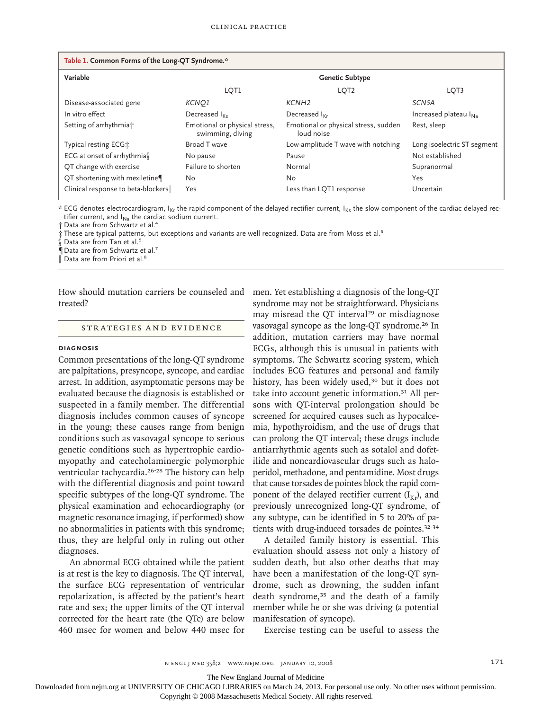| Table 1. Common Forms of the Long-QT Syndrome.* |                                                   |                                                    |                                   |  |
|-------------------------------------------------|---------------------------------------------------|----------------------------------------------------|-----------------------------------|--|
| Variable                                        | <b>Genetic Subtype</b>                            |                                                    |                                   |  |
|                                                 | LQT1                                              | LQT <sub>2</sub>                                   | LQT3                              |  |
| Disease-associated gene                         | <b>KCNO1</b>                                      | KCNH <sub>2</sub>                                  | SCN <sub>5</sub> A                |  |
| In vitro effect                                 | Decreased $I_{Kc}$                                | Decreased $I_{Kr}$                                 | Increased plateau $I_{\text{Na}}$ |  |
| Setting of arrhythmia <sup>+</sup>              | Emotional or physical stress,<br>swimming, diving | Emotional or physical stress, sudden<br>loud noise | Rest, sleep                       |  |
| Typical resting ECG <sub>T</sub>                | Broad T wave                                      | Low-amplitude T wave with notching                 | Long isoelectric ST segment       |  |
| ECG at onset of arrhythmia                      | No pause                                          | Pause                                              | Not established                   |  |
| QT change with exercise                         | Failure to shorten                                | Normal                                             | Supranormal                       |  |
| QT shortening with mexiletine¶                  | No                                                | No.                                                | Yes                               |  |
| Clinical response to beta-blockers              | Yes                                               | Less than LOT1 response                            | Uncertain                         |  |

 $*$  ECG denotes electrocardiogram,  $I_{Kr}$  the rapid component of the delayed rectifier current,  $I_{Kr}$  the slow component of the cardiac delayed rectifier current, and  $I_{\text{Na}}$  the cardiac sodium current.

† Data are from Schwartz et al.<sup>4</sup>

 $\dot{\text{t}}$  These are typical patterns, but exceptions and variants are well recognized. Data are from Moss et al.<sup>5</sup>

Data are from Tan et al.<sup>6</sup>

¶Data are from Schwartz et al.<sup>7</sup>

Data are from Priori et al.<sup>8</sup>

treated?

## STRATEGIES AND EVIDENCE

## **Diagnosis**

Common presentations of the long-QT syndrome are palpitations, presyncope, syncope, and cardiac arrest. In addition, asymptomatic persons may be evaluated because the diagnosis is established or suspected in a family member. The differential diagnosis includes common causes of syncope in the young; these causes range from benign conditions such as vasovagal syncope to serious genetic conditions such as hypertrophic cardiomyopathy and catecholaminergic polymorphic ventricular tachycardia.26-28 The history can help with the differential diagnosis and point toward specific subtypes of the long-QT syndrome. The physical examination and echocardiography (or magnetic resonance imaging, if performed) show no abnormalities in patients with this syndrome; thus, they are helpful only in ruling out other diagnoses.

An abnormal ECG obtained while the patient is at rest is the key to diagnosis. The QT interval, the surface ECG representation of ventricular repolarization, is affected by the patient's heart rate and sex; the upper limits of the QT interval corrected for the heart rate (the QTc) are below 460 msec for women and below 440 msec for

How should mutation carriers be counseled and men. Yet establishing a diagnosis of the long-QT syndrome may not be straightforward. Physicians may misread the QT interval<sup>29</sup> or misdiagnose vasovagal syncope as the long-QT syndrome.26 In addition, mutation carriers may have normal ECGs, although this is unusual in patients with symptoms. The Schwartz scoring system, which includes ECG features and personal and family history, has been widely used,<sup>30</sup> but it does not take into account genetic information.31 All persons with QT-interval prolongation should be screened for acquired causes such as hypocalcemia, hypothyroidism, and the use of drugs that can prolong the QT interval; these drugs include antiarrhythmic agents such as sotalol and dofetilide and noncardiovascular drugs such as haloperidol, methadone, and pentamidine. Most drugs that cause torsades de pointes block the rapid component of the delayed rectifier current  $(I_{Kr})$ , and previously unrecognized long-QT syndrome, of any subtype, can be identified in 5 to 20% of patients with drug-induced torsades de pointes.32-34

> A detailed family history is essential. This evaluation should assess not only a history of sudden death, but also other deaths that may have been a manifestation of the long-QT syndrome, such as drowning, the sudden infant death syndrome,<sup>35</sup> and the death of a family member while he or she was driving (a potential manifestation of syncope).

Exercise testing can be useful to assess the

The New England Journal of Medicine

Downloaded from nejm.org at UNIVERSITY OF CHICAGO LIBRARIES on March 24, 2013. For personal use only. No other uses without permission.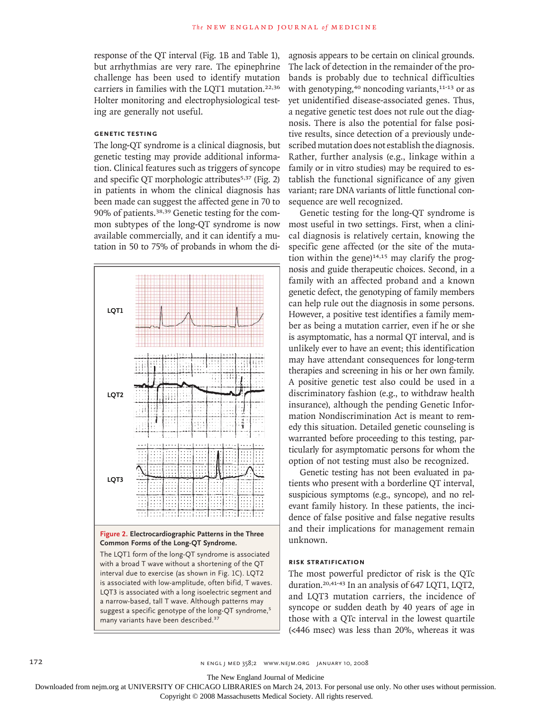response of the QT interval (Fig. 1B and Table 1), but arrhythmias are very rare. The epinephrine challenge has been used to identify mutation carriers in families with the LQT1 mutation.<sup>22,36</sup> Holter monitoring and electrophysiological testing are generally not useful.

# **Genetic Testing**

The long-QT syndrome is a clinical diagnosis, but genetic testing may provide additional information. Clinical features such as triggers of syncope and specific QT morphologic attributes<sup>5,37</sup> (Fig. 2) in patients in whom the clinical diagnosis has been made can suggest the affected gene in 70 to 90% of patients.38,39 Genetic testing for the common subtypes of the long-QT syndrome is now available commercially, and it can identify a mutation in 50 to 75% of probands in whom the di-



15 associated with low-amplitude, often bind, I waves.<br>LQT3 is associated with a long isoelectric segment and Interval due to exercise (as shown in rig. 10*ft*. Lot 12<br>is associated with low-amplitude, often bifid, T waves. interval due to exercise (as shown in Fig. 1C). LQT2 a narrow-based, tall T wave. Although patterns may suggest a specific genotype of the long-QT syndrome,<sup>5</sup> many variants have been described.<sup>37</sup> with a broad T wave without a shortening of the QT

agnosis appears to be certain on clinical grounds. The lack of detection in the remainder of the probands is probably due to technical difficulties with genotyping, $40$  noncoding variants, $11-13$  or as yet unidentified disease-associated genes. Thus, a negative genetic test does not rule out the diagnosis. There is also the potential for false positive results, since detection of a previously undescribed mutation does not establish the diagnosis. Rather, further analysis (e.g., linkage within a family or in vitro studies) may be required to establish the functional significance of any given variant; rare DNA variants of little functional consequence are well recognized.

Genetic testing for the long-QT syndrome is most useful in two settings. First, when a clinical diagnosis is relatively certain, knowing the specific gene affected (or the site of the mutation within the gene $)$ <sup>14,15</sup> may clarify the prognosis and guide therapeutic choices. Second, in a family with an affected proband and a known genetic defect, the genotyping of family members can help rule out the diagnosis in some persons. However, a positive test identifies a family member as being a mutation carrier, even if he or she is asymptomatic, has a normal QT interval, and is unlikely ever to have an event; this identification may have attendant consequences for long-term therapies and screening in his or her own family. A positive genetic test also could be used in a discriminatory fashion (e.g., to withdraw health insurance), although the pending Genetic Information Nondiscrimination Act is meant to remedy this situation. Detailed genetic counseling is warranted before proceeding to this testing, particularly for asymptomatic persons for whom the option of not testing must also be recognized.

Genetic testing has not been evaluated in patients who present with a borderline QT interval, suspicious symptoms (e.g., syncope), and no relevant family history. In these patients, the incidence of false positive and false negative results and their implications for management remain unknown.

## **Risk Stratification**

The most powerful predictor of risk is the QTc duration.20,41-43 In an analysis of 647 LQT1, LQT2, and LQT3 mutation carriers, the incidence of syncope or sudden death by 40 years of age in those with a QTc interval in the lowest quartile (<446 msec) was less than 20%, whereas it was

172 n engl j med 358;2 www.nejm.org january 10, 2008

The New England Journal of Medicine

Downloaded from nejm.org at UNIVERSITY OF CHICAGO LIBRARIES on March 24, 2013. For personal use only. No other uses without permission.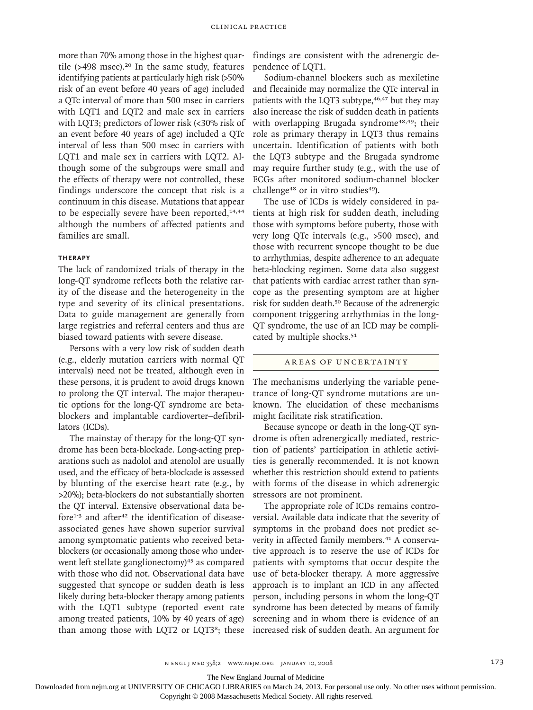more than 70% among those in the highest quartile (>498 msec).<sup>20</sup> In the same study, features identifying patients at particularly high risk (>50% risk of an event before 40 years of age) included a QTc interval of more than 500 msec in carriers with LQT1 and LQT2 and male sex in carriers with LQT3; predictors of lower risk (<30% risk of an event before 40 years of age) included a QTc interval of less than 500 msec in carriers with LQT1 and male sex in carriers with LQT2. Although some of the subgroups were small and the effects of therapy were not controlled, these findings underscore the concept that risk is a continuum in this disease. Mutations that appear to be especially severe have been reported,<sup>14,44</sup> although the numbers of affected patients and families are small.

#### **Therapy**

The lack of randomized trials of therapy in the long-QT syndrome reflects both the relative rarity of the disease and the heterogeneity in the type and severity of its clinical presentations. Data to guide management are generally from large registries and referral centers and thus are biased toward patients with severe disease.

Persons with a very low risk of sudden death (e.g., elderly mutation carriers with normal QT intervals) need not be treated, although even in these persons, it is prudent to avoid drugs known to prolong the QT interval. The major therapeutic options for the long-QT syndrome are betablockers and implantable cardioverter–defibrillators (ICDs).

The mainstay of therapy for the long-QT syndrome has been beta-blockade. Long-acting preparations such as nadolol and atenolol are usually used, and the efficacy of beta-blockade is assessed by blunting of the exercise heart rate (e.g., by >20%); beta-blockers do not substantially shorten the QT interval. Extensive observational data before<sup>1-3</sup> and after<sup>42</sup> the identification of diseaseassociated genes have shown superior survival among symptomatic patients who received betablockers (or occasionally among those who underwent left stellate ganglionectomy)<sup>45</sup> as compared with those who did not. Observational data have suggested that syncope or sudden death is less likely during beta-blocker therapy among patients with the LQT1 subtype (reported event rate among treated patients, 10% by 40 years of age) than among those with LQT2 or LQT3<sup>8</sup>; these findings are consistent with the adrenergic dependence of LQT1.

Sodium-channel blockers such as mexiletine and flecainide may normalize the QTc interval in patients with the LQT3 subtype,<sup>46,47</sup> but they may also increase the risk of sudden death in patients with overlapping Brugada syndrome<sup>48,49</sup>; their role as primary therapy in LQT3 thus remains uncertain. Identification of patients with both the LQT3 subtype and the Brugada syndrome may require further study (e.g., with the use of ECGs after monitored sodium-channel blocker challenge<sup>48</sup> or in vitro studies<sup>49</sup>).

The use of ICDs is widely considered in patients at high risk for sudden death, including those with symptoms before puberty, those with very long QTc intervals (e.g., >500 msec), and those with recurrent syncope thought to be due to arrhythmias, despite adherence to an adequate beta-blocking regimen. Some data also suggest that patients with cardiac arrest rather than syncope as the presenting symptom are at higher risk for sudden death.50 Because of the adrenergic component triggering arrhythmias in the long-QT syndrome, the use of an ICD may be complicated by multiple shocks.<sup>51</sup>

#### AREAS OF UNCERTAINTY

The mechanisms underlying the variable penetrance of long-QT syndrome mutations are unknown. The elucidation of these mechanisms might facilitate risk stratification.

Because syncope or death in the long-QT syndrome is often adrenergically mediated, restriction of patients' participation in athletic activities is generally recommended. It is not known whether this restriction should extend to patients with forms of the disease in which adrenergic stressors are not prominent.

The appropriate role of ICDs remains controversial. Available data indicate that the severity of symptoms in the proband does not predict severity in affected family members.<sup>41</sup> A conservative approach is to reserve the use of ICDs for patients with symptoms that occur despite the use of beta-blocker therapy. A more aggressive approach is to implant an ICD in any affected person, including persons in whom the long-QT syndrome has been detected by means of family screening and in whom there is evidence of an increased risk of sudden death. An argument for

The New England Journal of Medicine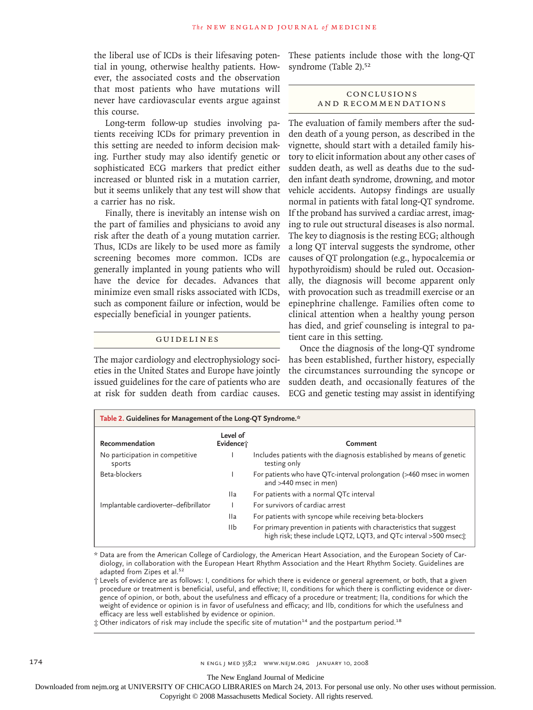the liberal use of ICDs is their lifesaving potential in young, otherwise healthy patients. However, the associated costs and the observation that most patients who have mutations will never have cardiovascular events argue against this course.

Long-term follow-up studies involving patients receiving ICDs for primary prevention in this setting are needed to inform decision making. Further study may also identify genetic or sophisticated ECG markers that predict either increased or blunted risk in a mutation carrier, but it seems unlikely that any test will show that a carrier has no risk.

Finally, there is inevitably an intense wish on the part of families and physicians to avoid any risk after the death of a young mutation carrier. Thus, ICDs are likely to be used more as family screening becomes more common. ICDs are generally implanted in young patients who will have the device for decades. Advances that minimize even small risks associated with ICDs, such as component failure or infection, would be especially beneficial in younger patients.

## **GUIDELINES**

The major cardiology and electrophysiology societies in the United States and Europe have jointly issued guidelines for the care of patients who are at risk for sudden death from cardiac causes.

These patients include those with the long-QT syndrome (Table 2).<sup>52</sup>

## Conclusions a nd R ecommendations

The evaluation of family members after the sudden death of a young person, as described in the vignette, should start with a detailed family history to elicit information about any other cases of sudden death, as well as deaths due to the sudden infant death syndrome, drowning, and motor vehicle accidents. Autopsy findings are usually normal in patients with fatal long-QT syndrome. If the proband has survived a cardiac arrest, imaging to rule out structural diseases is also normal. The key to diagnosis is the resting ECG; although a long QT interval suggests the syndrome, other causes of QT prolongation (e.g., hypocalcemia or hypothyroidism) should be ruled out. Occasionally, the diagnosis will become apparent only with provocation such as treadmill exercise or an epinephrine challenge. Families often come to clinical attention when a healthy young person has died, and grief counseling is integral to patient care in this setting.

Once the diagnosis of the long-QT syndrome has been established, further history, especially the circumstances surrounding the syncope or sudden death, and occasionally features of the ECG and genetic testing may assist in identifying

| Table 2. Guidelines for Management of the Long-QT Syndrome.* |                       |                                                                                                                                           |  |
|--------------------------------------------------------------|-----------------------|-------------------------------------------------------------------------------------------------------------------------------------------|--|
| Recommendation                                               | Level of<br>Evidence* | Comment                                                                                                                                   |  |
| No participation in competitive<br>sports                    |                       | Includes patients with the diagnosis established by means of genetic<br>testing only                                                      |  |
| Beta-blockers                                                |                       | For patients who have QTc-interval prolongation (>460 msec in women<br>and >440 msec in men)                                              |  |
|                                                              | IIa                   | For patients with a normal QTc interval                                                                                                   |  |
| Implantable cardioverter-defibrillator                       |                       | For survivors of cardiac arrest                                                                                                           |  |
|                                                              | IIa                   | For patients with syncope while receiving beta-blockers                                                                                   |  |
|                                                              | Шb                    | For primary prevention in patients with characteristics that suggest<br>high risk; these include LQT2, LQT3, and QTc interval >500 msect: |  |

\* Data are from the American College of Cardiology, the American Heart Association, and the European Society of Cardiology, in collaboration with the European Heart Rhythm Association and the Heart Rhythm Society. Guidelines are adapted from Zipes et al.<sup>52</sup>

† Levels of evidence are as follows: I, conditions for which there is evidence or general agreement, or both, that a given procedure or treatment is beneficial, useful, and effective; II, conditions for which there is conflicting evidence or divergence of opinion, or both, about the usefulness and efficacy of a procedure or treatment; IIa, conditions for which the weight of evidence or opinion is in favor of usefulness and efficacy; and IIb, conditions for which the usefulness and efficacy are less well established by evidence or opinion.

 $\pm$  Other indicators of risk may include the specific site of mutation<sup>14</sup> and the postpartum period.<sup>18</sup>

The New England Journal of Medicine

Downloaded from nejm.org at UNIVERSITY OF CHICAGO LIBRARIES on March 24, 2013. For personal use only. No other uses without permission.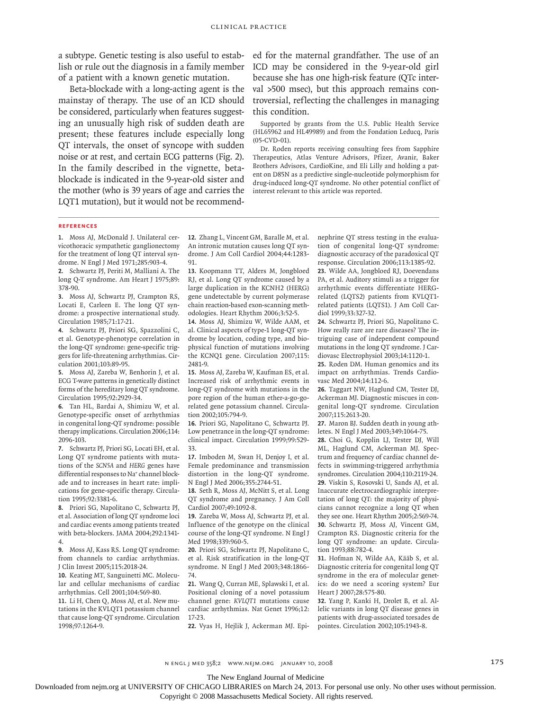a subtype. Genetic testing is also useful to establish or rule out the diagnosis in a family member of a patient with a known genetic mutation.

Beta-blockade with a long-acting agent is the mainstay of therapy. The use of an ICD should be considered, particularly when features suggesting an unusually high risk of sudden death are present; these features include especially long QT intervals, the onset of syncope with sudden noise or at rest, and certain ECG patterns (Fig. 2). In the family described in the vignette, betablockade is indicated in the 9-year-old sister and the mother (who is 39 years of age and carries the LQT1 mutation), but it would not be recommended for the maternal grandfather. The use of an ICD may be considered in the 9-year-old girl because she has one high-risk feature (QTc interval >500 msec), but this approach remains controversial, reflecting the challenges in managing this condition.

Supported by grants from the U.S. Public Health Service (HL65962 and HL49989) and from the Fondation Leducq, Paris (05-CVD-01).

Dr. Roden reports receiving consulting fees from Sapphire Therapeutics, Atlas Venture Advisors, Pfizer, Avanir, Baker Brothers Advisors, CardioKine, and Eli Lilly and holding a patent on D85N as a predictive single-nucleotide polymorphism for drug-induced long-QT syndrome. No other potential conflict of interest relevant to this article was reported.

#### **References**

1. Moss AJ, McDonald J. Unilateral cervicothoracic sympathetic ganglionectomy for the treatment of long QT interval syndrome. N Engl J Med 1971;285:903-4.

**2.** Schwartz PJ, Periti M, Malliani A. The long Q-T syndrome. Am Heart J 1975;89: 378-90.

Moss AJ, Schwartz PJ, Crampton RS, **3.** Locati E, Carleen E. The long QT syndrome: a prospective international study. Circulation 1985;71:17-21.

Schwartz PJ, Priori SG, Spazzolini C, **4.** et al. Genotype-phenotype correlation in the long-QT syndrome: gene-specific triggers for life-threatening arrhythmias. Circulation 2001;103:89-95.

Moss AJ, Zareba W, Benhorin J, et al. **5.** ECG T-wave patterns in genetically distinct forms of the hereditary long QT syndrome. Circulation 1995;92:2929-34.

Tan HL, Bardai A, Shimizu W, et al. **6.** Genotype-specific onset of arrhythmias in congenital long-QT syndrome: possible therapy implications. Circulation 2006;114: 2096-103.

**7.** Schwartz PJ, Priori SG, Locati EH, et al. Long QT syndrome patients with mutations of the *SCN5A* and *HERG* genes have differential responses to Na<sup>+</sup> channel blockade and to increases in heart rate: implications for gene-specific therapy. Circulation 1995;92:3381-6.

Priori SG, Napolitano C, Schwartz PJ, **8.** et al. Association of long QT syndrome loci and cardiac events among patients treated with beta-blockers. JAMA 2004;292:1341- 4.

Moss AJ, Kass RS. Long QT syndrome: **9.** from channels to cardiac arrhythmias. J Clin Invest 2005;115:2018-24.

10. Keating MT, Sanguinetti MC. Molecular and cellular mechanisms of cardiac arrhythmias. Cell 2001;104:569-80. Li H, Chen Q, Moss AJ, et al. New mu-**11.** tations in the KVLQT1 potassium channel that cause long-QT syndrome. Circulation 1998;97:1264-9.

12. Zhang L, Vincent GM, Baralle M, et al. An intronic mutation causes long QT syndrome. J Am Coll Cardiol 2004;44:1283- 91.

13. Koopmann TT, Alders M, Jongbloed RJ, et al. Long QT syndrome caused by a large duplication in the KCNH2 (HERG) gene undetectable by current polymerase chain reaction-based exon-scanning methodologies. Heart Rhythm 2006;3:52-5.

14. Moss AJ, Shimizu W, Wilde AAM, et al. Clinical aspects of type-1 long-QT syndrome by location, coding type, and biophysical function of mutations involving the KCNQ1 gene. Circulation 2007;115: 2481-9.

Moss AJ, Zareba W, Kaufman ES, et al. **15.** Increased risk of arrhythmic events in long-QT syndrome with mutations in the pore region of the human ether-a-go-gorelated gene potassium channel. Circulation 2002;105:794-9.

16. Priori SG, Napolitano C, Schwartz PJ. Low penetrance in the long-QT syndrome: clinical impact. Circulation 1999;99:529- 33.

17. Imboden M, Swan H, Denjoy I, et al. Female predominance and transmission distortion in the long-QT syndrome. N Engl J Med 2006;355:2744-51.

18. Seth R, Moss AJ, McNitt S, et al. Long QT syndrome and pregnancy. J Am Coll Cardiol 2007;49:1092-8.

19. Zareba W, Moss AJ, Schwartz PJ, et al. Influence of the genotype on the clinical course of the long-QT syndrome. N Engl J Med 1998;339:960-5.

Priori SG, Schwartz PJ, Napolitano C, **20.** et al. Risk stratification in the long-QT syndrome. N Engl J Med 2003;348:1866- 74.

Wang Q, Curran ME, Splawski I, et al. **21.** Positional cloning of a novel potassium channel gene: *KVLQT1* mutations cause cardiac arrhythmias. Nat Genet 1996;12: 17-23.

**22.** Vyas H, Hejlik J, Ackerman MJ. Epi-

nephrine QT stress testing in the evaluation of congenital long-QT syndrome: diagnostic accuracy of the paradoxical QT response. Circulation 2006;113:1385-92.

Wilde AA, Jongbloed RJ, Doevendans **23.** PA, et al. Auditory stimuli as a trigger for arrhythmic events differentiate HERGrelated (LQTS2) patients from KVLQT1 related patients (LQTS1). J Am Coll Cardiol 1999;33:327-32.

**24.** Schwartz PJ, Priori SG, Napolitano C. How really rare are rare diseases? The intriguing case of independent compound mutations in the long QT syndrome. J Cardiovasc Electrophysiol 2003;14:1120-1.

25. Roden DM. Human genomics and its impact on arrhythmias. Trends Cardiovasc Med 2004;14:112-6.

26. Taggart NW, Haglund CM, Tester DJ, Ackerman MJ. Diagnostic miscues in congenital long-QT syndrome. Circulation 2007;115:2613-20.

Maron BJ. Sudden death in young ath-**27.** letes. N Engl J Med 2003;349:1064-75.

Choi G, Kopplin LJ, Tester DJ, Will **28.** ML, Haglund CM, Ackerman MJ. Spectrum and frequency of cardiac channel defects in swimming-triggered arrhythmia syndromes. Circulation 2004;110:2119-24. **29.** Viskin S, Rosovski U, Sands AJ, et al. Inaccurate electrocardiographic interpretation of long QT: the majority of physicians cannot recognize a long QT when they see one. Heart Rhythm 2005;2:569-74. Schwartz PJ, Moss AJ, Vincent GM, **30.** Crampton RS. Diagnostic criteria for the long QT syndrome: an update. Circulation 1993;88:782-4.

**31.** Hofman N, Wilde AA, Kääb S, et al. Diagnostic criteria for congenital long QT syndrome in the era of molecular genetics: do we need a scoring system? Eur Heart J 2007;28:575-80.

**32.** Yang P, Kanki H, Drolet B, et al. Allelic variants in long QT disease genes in patients with drug-associated torsades de pointes. Circulation 2002;105:1943-8.

n engl j med 358;2 www.nejm.org january 10, 2008 175

The New England Journal of Medicine

Downloaded from nejm.org at UNIVERSITY OF CHICAGO LIBRARIES on March 24, 2013. For personal use only. No other uses without permission.